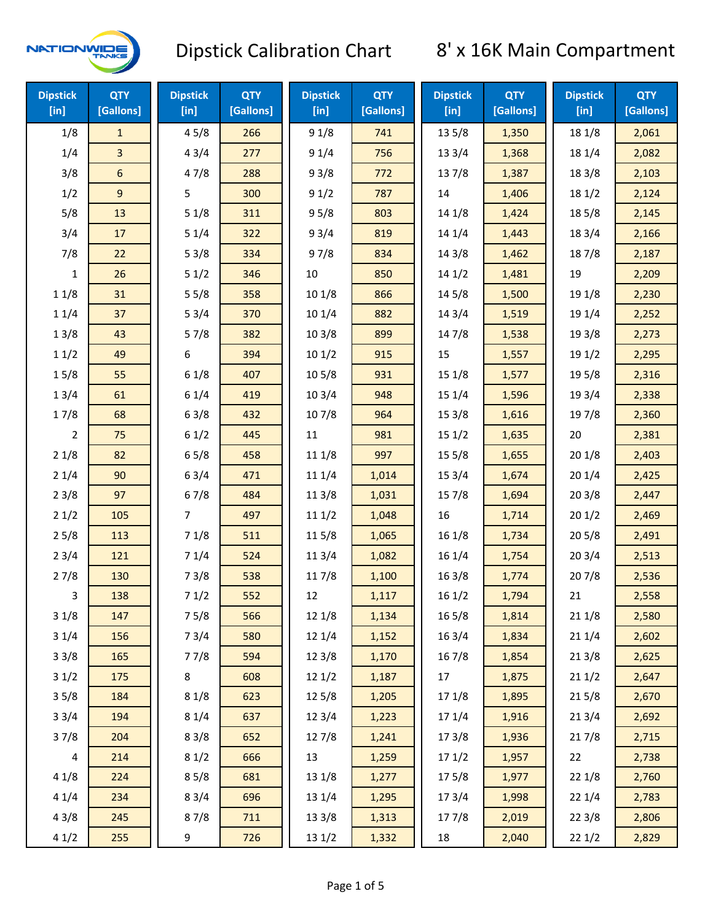

| <b>Dipstick</b><br>$[$ in] | <b>QTY</b><br>[Gallons] | <b>Dipstick</b><br>[in] | <b>QTY</b><br>[Gallons] | <b>Dipstick</b><br>[in] | <b>QTY</b><br>[Gallons] | <b>Dipstick</b><br>[in] | <b>QTY</b><br>[Gallons] | <b>Dipstick</b><br>$[$ in] | <b>QTY</b><br>[Gallons] |
|----------------------------|-------------------------|-------------------------|-------------------------|-------------------------|-------------------------|-------------------------|-------------------------|----------------------------|-------------------------|
| 1/8                        | $\mathbf{1}$            | 45/8                    | 266                     | 91/8                    | 741                     | 13 5/8                  | 1,350                   | 18 1/8                     | 2,061                   |
| 1/4                        | 3                       | 43/4                    | 277                     | 91/4                    | 756                     | 13 3/4                  | 1,368                   | 18 1/4                     | 2,082                   |
| 3/8                        | 6                       | 47/8                    | 288                     | 93/8                    | 772                     | 137/8                   | 1,387                   | 18 3/8                     | 2,103                   |
| 1/2                        | 9                       | 5                       | 300                     | 91/2                    | 787                     | 14                      | 1,406                   | 18 1/2                     | 2,124                   |
| 5/8                        | 13                      | 51/8                    | 311                     | 95/8                    | 803                     | 14 1/8                  | 1,424                   | 185/8                      | 2,145                   |
| 3/4                        | 17                      | 51/4                    | 322                     | 93/4                    | 819                     | 14 1/4                  | 1,443                   | 18 3/4                     | 2,166                   |
| 7/8                        | 22                      | 53/8                    | 334                     | 97/8                    | 834                     | 14 3/8                  | 1,462                   | 187/8                      | 2,187                   |
| 1                          | 26                      | 51/2                    | 346                     | 10                      | 850                     | 141/2                   | 1,481                   | 19                         | 2,209                   |
| 11/8                       | 31                      | 55/8                    | 358                     | 10 1/8                  | 866                     | 14 5/8                  | 1,500                   | 19 1/8                     | 2,230                   |
| 11/4                       | 37                      | 53/4                    | 370                     | 10 1/4                  | 882                     | 143/4                   | 1,519                   | 19 1/4                     | 2,252                   |
| 13/8                       | 43                      | 57/8                    | 382                     | 103/8                   | 899                     | 147/8                   | 1,538                   | 19 3/8                     | 2,273                   |
| 11/2                       | 49                      | 6                       | 394                     | 101/2                   | 915                     | 15                      | 1,557                   | 19 1/2                     | 2,295                   |
| 15/8                       | 55                      | 61/8                    | 407                     | 10 <sub>5</sub> /8      | 931                     | 151/8                   | 1,577                   | 19 5/8                     | 2,316                   |
| 13/4                       | 61                      | 61/4                    | 419                     | 103/4                   | 948                     | 15 1/4                  | 1,596                   | 19 3/4                     | 2,338                   |
| 17/8                       | 68                      | 63/8                    | 432                     | 107/8                   | 964                     | 153/8                   | 1,616                   | 197/8                      | 2,360                   |
| $\overline{2}$             | 75                      | 61/2                    | 445                     | $11\,$                  | 981                     | 151/2                   | 1,635                   | 20                         | 2,381                   |
| 21/8                       | 82                      | 65/8                    | 458                     | 11 1/8                  | 997                     | 15 5/8                  | 1,655                   | 201/8                      | 2,403                   |
| 21/4                       | 90                      | 63/4                    | 471                     | 11 1/4                  | 1,014                   | 153/4                   | 1,674                   | 201/4                      | 2,425                   |
| 23/8                       | 97                      | 67/8                    | 484                     | 11 3/8                  | 1,031                   | 15 7/8                  | 1,694                   | 203/8                      | 2,447                   |
| 21/2                       | 105                     | 7                       | 497                     | 111/2                   | 1,048                   | 16                      | 1,714                   | 201/2                      | 2,469                   |
| 25/8                       | 113                     | 71/8                    | 511                     | 115/8                   | 1,065                   | 16 1/8                  | 1,734                   | 205/8                      | 2,491                   |
| 23/4                       | 121                     | 71/4                    | 524                     | 11 3/4                  | 1,082                   | 16 1/4                  | 1,754                   | 203/4                      | 2,513                   |
| 27/8                       | 130                     | 73/8                    | 538                     | 117/8                   | 1,100                   | 163/8                   | 1,774                   | 207/8                      | 2,536                   |
| 3                          | 138                     | 71/2                    | 552                     | 12                      | 1,117                   | 161/2                   | 1,794                   | 21                         | 2,558                   |
| 31/8                       | 147                     | 75/8                    | 566                     | 12 1/8                  | 1,134                   | $16\,5/8$               | 1,814                   | 211/8                      | 2,580                   |
| 31/4                       | 156                     | 73/4                    | 580                     | 12 1/4                  | 1,152                   | 16 3/4                  | 1,834                   | 211/4                      | 2,602                   |
| 33/8                       | 165                     | 77/8                    | 594                     | 12 3/8                  | 1,170                   | 16 7/8                  | 1,854                   | 213/8                      | 2,625                   |
| 31/2                       | 175                     | 8                       | 608                     | 121/2                   | 1,187                   | 17                      | 1,875                   | 211/2                      | 2,647                   |
| 35/8                       | 184                     | 81/8                    | 623                     | 12 5/8                  | 1,205                   | 17 1/8                  | 1,895                   | 215/8                      | 2,670                   |
| 33/4                       | 194                     | 81/4                    | 637                     | 123/4                   | 1,223                   | 17 1/4                  | 1,916                   | 213/4                      | 2,692                   |
| 37/8                       | 204                     | 83/8                    | 652                     | 12 7/8                  | 1,241                   | 173/8                   | 1,936                   | 217/8                      | 2,715                   |
| 4                          | 214                     | 81/2                    | 666                     | 13                      | 1,259                   | 171/2                   | 1,957                   | 22                         | 2,738                   |
| 41/8                       | 224                     | 85/8                    | 681                     | 13 1/8                  | 1,277                   | 175/8                   | 1,977                   | 221/8                      | 2,760                   |
| 41/4                       | 234                     | 83/4                    | 696                     | 13 1/4                  | 1,295                   | 173/4                   | 1,998                   | 221/4                      | 2,783                   |
| 43/8                       | 245                     | 87/8                    | 711                     | 13 3/8                  | 1,313                   | 177/8                   | 2,019                   | 223/8                      | 2,806                   |
| 41/2                       | 255                     | 9                       | 726                     | 13 1/2                  | 1,332                   | 18                      | 2,040                   | 221/2                      | 2,829                   |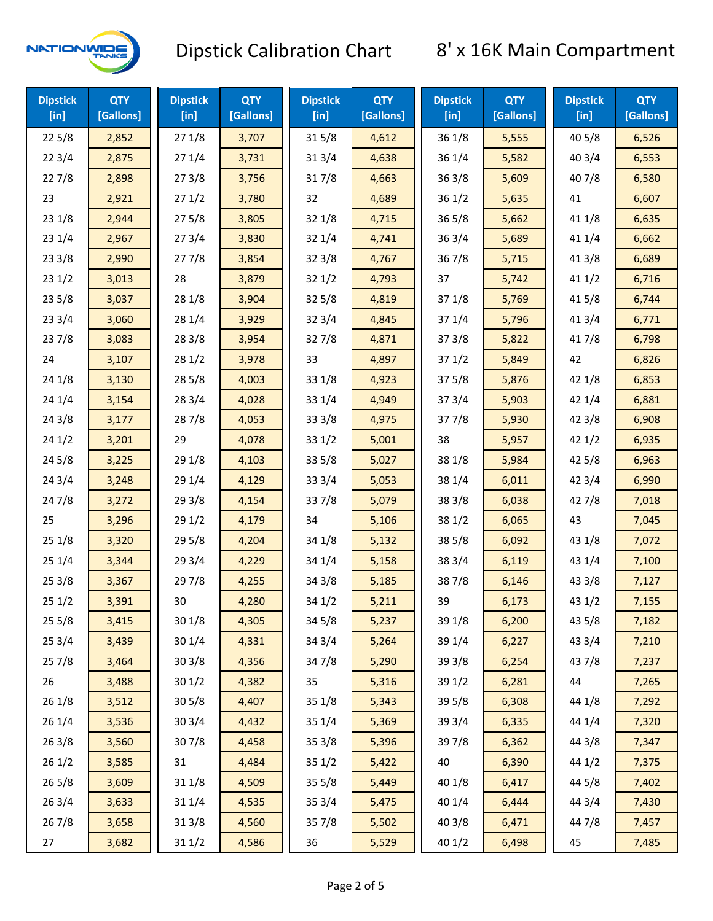

| <b>Dipstick</b><br>[in] | <b>QTY</b><br>[Gallons] | <b>Dipstick</b><br>$[$ in] | <b>QTY</b><br>[Gallons] | <b>Dipstick</b><br>$[$ in] | <b>QTY</b><br>[Gallons] | <b>Dipstick</b><br>$[$ in] | <b>QTY</b><br>[Gallons] | <b>Dipstick</b><br>$[$ in] | <b>QTY</b><br>[Gallons] |
|-------------------------|-------------------------|----------------------------|-------------------------|----------------------------|-------------------------|----------------------------|-------------------------|----------------------------|-------------------------|
| 225/8                   | 2,852                   | 271/8                      | 3,707                   | 315/8                      | 4,612                   | 36 1/8                     | 5,555                   | 40 5/8                     | 6,526                   |
| 223/4                   | 2,875                   | 271/4                      | 3,731                   | 31 3/4                     | 4,638                   | 36 1/4                     | 5,582                   | 403/4                      | 6,553                   |
| 227/8                   | 2,898                   | 273/8                      | 3,756                   | 317/8                      | 4,663                   | 363/8                      | 5,609                   | 407/8                      | 6,580                   |
| 23                      | 2,921                   | 271/2                      | 3,780                   | 32                         | 4,689                   | 361/2                      | 5,635                   | 41                         | 6,607                   |
| 231/8                   | 2,944                   | 275/8                      | 3,805                   | 32 1/8                     | 4,715                   | 365/8                      | 5,662                   | 41 1/8                     | 6,635                   |
| 231/4                   | 2,967                   | 273/4                      | 3,830                   | 32 1/4                     | 4,741                   | 363/4                      | 5,689                   | 41 1/4                     | 6,662                   |
| 233/8                   | 2,990                   | 277/8                      | 3,854                   | 323/8                      | 4,767                   | 367/8                      | 5,715                   | 413/8                      | 6,689                   |
| 231/2                   | 3,013                   | 28                         | 3,879                   | 321/2                      | 4,793                   | 37                         | 5,742                   | 411/2                      | 6,716                   |
| 235/8                   | 3,037                   | 28 1/8                     | 3,904                   | 325/8                      | 4,819                   | 37 1/8                     | 5,769                   | 41 5/8                     | 6,744                   |
| 233/4                   | 3,060                   | 28 1/4                     | 3,929                   | 323/4                      | 4,845                   | 37 1/4                     | 5,796                   | 41 3/4                     | 6,771                   |
| 237/8                   | 3,083                   | 28 3/8                     | 3,954                   | 327/8                      | 4,871                   | 373/8                      | 5,822                   | 417/8                      | 6,798                   |
| 24                      | 3,107                   | 281/2                      | 3,978                   | 33                         | 4,897                   | 371/2                      | 5,849                   | 42                         | 6,826                   |
| 24 1/8                  | 3,130                   | 28 5/8                     | 4,003                   | 33 1/8                     | 4,923                   | 375/8                      | 5,876                   | 42 1/8                     | 6,853                   |
| 241/4                   | 3,154                   | 28 3/4                     | 4,028                   | 33 1/4                     | 4,949                   | 373/4                      | 5,903                   | 42 1/4                     | 6,881                   |
| 243/8                   | 3,177                   | 287/8                      | 4,053                   | 33 3/8                     | 4,975                   | 377/8                      | 5,930                   | 42 3/8                     | 6,908                   |
| 241/2                   | 3,201                   | 29                         | 4,078                   | 331/2                      | 5,001                   | 38                         | 5,957                   | 421/2                      | 6,935                   |
| 245/8                   | 3,225                   | 29 1/8                     | 4,103                   | 33 5/8                     | 5,027                   | 38 1/8                     | 5,984                   | 42 5/8                     | 6,963                   |
| 243/4                   | 3,248                   | 29 1/4                     | 4,129                   | 33 3/4                     | 5,053                   | 38 1/4                     | 6,011                   | 42 3/4                     | 6,990                   |
| 24 7/8                  | 3,272                   | 29 3/8                     | 4,154                   | 337/8                      | 5,079                   | 38 3/8                     | 6,038                   | 42 7/8                     | 7,018                   |
| 25                      | 3,296                   | 29 1/2                     | 4,179                   | 34                         | 5,106                   | 38 1/2                     | 6,065                   | 43                         | 7,045                   |
| 25 1/8                  | 3,320                   | 29 5/8                     | 4,204                   | 34 1/8                     | 5,132                   | 38 5/8                     | 6,092                   | 43 1/8                     | 7,072                   |
| 251/4                   | 3,344                   | 29 3/4                     | 4,229                   | 34 1/4                     | 5,158                   | 38 3/4                     | 6,119                   | 43 1/4                     | 7,100                   |
| 253/8                   | 3,367                   | 297/8                      | 4,255                   | 34 3/8                     | 5,185                   | 387/8                      | 6,146                   | 43 3/8                     | 7,127                   |
| 251/2                   | 3,391                   | 30                         | 4,280                   | 34 1/2                     | 5,211                   | 39                         | 6,173                   | 43 1/2                     | 7,155                   |
| 255/8                   | 3,415                   | 30 1/8                     | 4,305                   | 34 5/8                     | 5,237                   | 39 1/8                     | 6,200                   | 43 5/8                     | 7,182                   |
| 253/4                   | 3,439                   | 30 1/4                     | 4,331                   | 34 3/4                     | 5,264                   | 39 1/4                     | 6,227                   | 43 3/4                     | 7,210                   |
| 257/8                   | 3,464                   | 303/8                      | 4,356                   | 347/8                      | 5,290                   | 39 3/8                     | 6,254                   | 437/8                      | 7,237                   |
| 26                      | 3,488                   | 301/2                      | 4,382                   | 35                         | 5,316                   | 39 1/2                     | 6,281                   | 44                         | 7,265                   |
| 261/8                   | 3,512                   | 305/8                      | 4,407                   | 35 1/8                     | 5,343                   | 39 5/8                     | 6,308                   | 44 1/8                     | 7,292                   |
| 26 1/4                  | 3,536                   | 30 3/4                     | 4,432                   | 35 1/4                     | 5,369                   | 39 3/4                     | 6,335                   | 44 1/4                     | 7,320                   |
| 263/8                   | 3,560                   | 307/8                      | 4,458                   | 35 3/8                     | 5,396                   | 397/8                      | 6,362                   | 44 3/8                     | 7,347                   |
| 261/2                   | 3,585                   | 31                         | 4,484                   | 35 1/2                     | 5,422                   | 40                         | 6,390                   | 44 1/2                     | 7,375                   |
| 265/8                   | 3,609                   | 31 1/8                     | 4,509                   | 35 5/8                     | 5,449                   | 40 1/8                     | 6,417                   | 44 5/8                     | 7,402                   |
| 263/4                   | 3,633                   | 31 1/4                     | 4,535                   | 353/4                      | 5,475                   | 40 1/4                     | 6,444                   | 44 3/4                     | 7,430                   |
| 267/8                   | 3,658                   | 31 3/8                     | 4,560                   | 357/8                      | 5,502                   | 40 3/8                     | 6,471                   | 447/8                      | 7,457                   |
| 27                      | 3,682                   | 31 1/2                     | 4,586                   | 36                         | 5,529                   | 40 1/2                     | 6,498                   | 45                         | 7,485                   |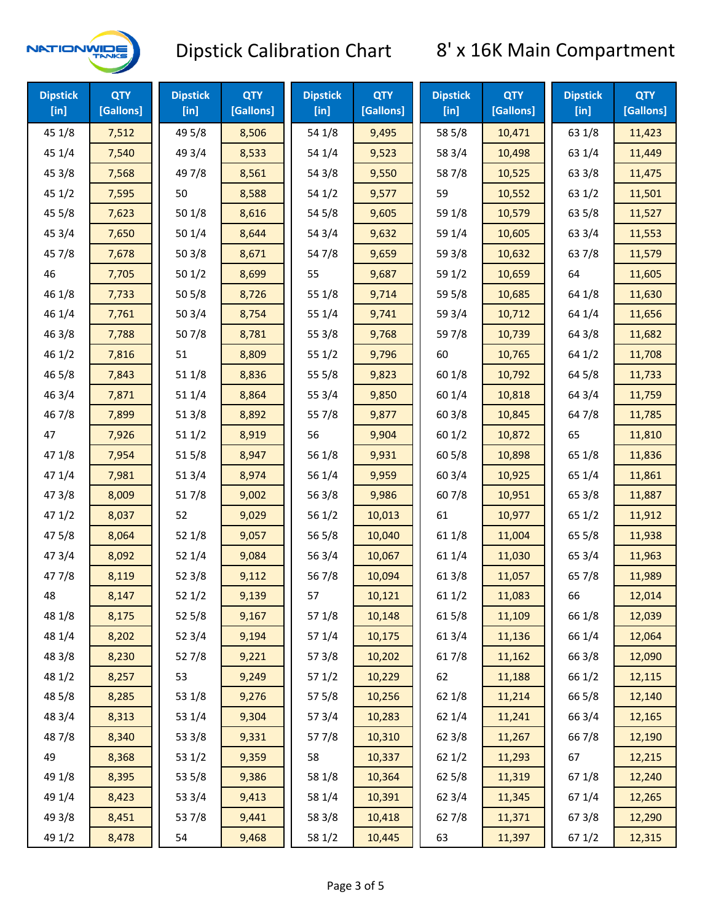

| <b>Dipstick</b><br>$[$ in] | <b>QTY</b><br>[Gallons] | <b>Dipstick</b><br>$[$ in] | <b>QTY</b><br>[Gallons] | <b>Dipstick</b><br>$[$ in] | <b>QTY</b><br>[Gallons] | <b>Dipstick</b><br>$[$ in] | <b>QTY</b><br>[Gallons] | <b>Dipstick</b><br>$[$ in] | <b>QTY</b><br>[Gallons] |
|----------------------------|-------------------------|----------------------------|-------------------------|----------------------------|-------------------------|----------------------------|-------------------------|----------------------------|-------------------------|
| 45 1/8                     | 7,512                   | 49 5/8                     | 8,506                   | 54 1/8                     | 9,495                   | 58 5/8                     | 10,471                  | 63 1/8                     | 11,423                  |
| 45 1/4                     | 7,540                   | 49 3/4                     | 8,533                   | 54 1/4                     | 9,523                   | 58 3/4                     | 10,498                  | 63 1/4                     | 11,449                  |
| 45 3/8                     | 7,568                   | 49 7/8                     | 8,561                   | 54 3/8                     | 9,550                   | 587/8                      | 10,525                  | 63 3/8                     | 11,475                  |
| 45 1/2                     | 7,595                   | 50                         | 8,588                   | 54 1/2                     | 9,577                   | 59                         | 10,552                  | 63 1/2                     | 11,501                  |
| 45 5/8                     | 7,623                   | 501/8                      | 8,616                   | 54 5/8                     | 9,605                   | 59 1/8                     | 10,579                  | 63 5/8                     | 11,527                  |
| 45 3/4                     | 7,650                   | 501/4                      | 8,644                   | 54 3/4                     | 9,632                   | 59 1/4                     | 10,605                  | 63 3/4                     | 11,553                  |
| 45 7/8                     | 7,678                   | 503/8                      | 8,671                   | 547/8                      | 9,659                   | 59 3/8                     | 10,632                  | 63 7/8                     | 11,579                  |
| 46                         | 7,705                   | 501/2                      | 8,699                   | 55                         | 9,687                   | 59 1/2                     | 10,659                  | 64                         | 11,605                  |
| 46 1/8                     | 7,733                   | 505/8                      | 8,726                   | 55 1/8                     | 9,714                   | 59 5/8                     | 10,685                  | 64 1/8                     | 11,630                  |
| 46 1/4                     | 7,761                   | 503/4                      | 8,754                   | 55 1/4                     | 9,741                   | 59 3/4                     | 10,712                  | 64 1/4                     | 11,656                  |
| 46 3/8                     | 7,788                   | 507/8                      | 8,781                   | 55 3/8                     | 9,768                   | 59 7/8                     | 10,739                  | 64 3/8                     | 11,682                  |
| 46 1/2                     | 7,816                   | 51                         | 8,809                   | 551/2                      | 9,796                   | 60                         | 10,765                  | 64 1/2                     | 11,708                  |
| 46 5/8                     | 7,843                   | 51 1/8                     | 8,836                   | 55 5/8                     | 9,823                   | 60 1/8                     | 10,792                  | 64 5/8                     | 11,733                  |
| 46 3/4                     | 7,871                   | 51 1/4                     | 8,864                   | 55 3/4                     | 9,850                   | 60 1/4                     | 10,818                  | 64 3/4                     | 11,759                  |
| 46 7/8                     | 7,899                   | 513/8                      | 8,892                   | 55 7/8                     | 9,877                   | 603/8                      | 10,845                  | 64 7/8                     | 11,785                  |
| 47                         | 7,926                   | 511/2                      | 8,919                   | 56                         | 9,904                   | 60 1/2                     | 10,872                  | 65                         | 11,810                  |
| 47 1/8                     | 7,954                   | 515/8                      | 8,947                   | 56 1/8                     | 9,931                   | 60 5/8                     | 10,898                  | 65 1/8                     | 11,836                  |
| 47 1/4                     | 7,981                   | 513/4                      | 8,974                   | 56 1/4                     | 9,959                   | 60 3/4                     | 10,925                  | 65 1/4                     | 11,861                  |
| 47 3/8                     | 8,009                   | 517/8                      | 9,002                   | 56 3/8                     | 9,986                   | 607/8                      | 10,951                  | 65 3/8                     | 11,887                  |
| 471/2                      | 8,037                   | 52                         | 9,029                   | 561/2                      | 10,013                  | 61                         | 10,977                  | 65 1/2                     | 11,912                  |
| 475/8                      | 8,064                   | 52 1/8                     | 9,057                   | 56 5/8                     | 10,040                  | 61 1/8                     | 11,004                  | 65 5/8                     | 11,938                  |
| 473/4                      | 8,092                   | 52 1/4                     | 9,084                   | 56 3/4                     | 10,067                  | 61 1/4                     | 11,030                  | 65 3/4                     | 11,963                  |
| 477/8                      | 8,119                   | 52 3/8                     | 9,112                   | 567/8                      | 10,094                  | 61 3/8                     | 11,057                  | 65 7/8                     | 11,989                  |
| 48                         | 8,147                   | 521/2                      | 9,139                   | 57                         | 10,121                  | 611/2                      | 11,083                  | 66                         | 12,014                  |
| 48 1/8                     | 8,175                   | 525/8                      | 9,167                   | 57 1/8                     | 10,148                  | 615/8                      | 11,109                  | 66 1/8                     | 12,039                  |
| 48 1/4                     | 8,202                   | 52 3/4                     | 9,194                   | 57 1/4                     | 10,175                  | 613/4                      | 11,136                  | 66 1/4                     | 12,064                  |
| 48 3/8                     | 8,230                   | 527/8                      | 9,221                   | 57 3/8                     | 10,202                  | 617/8                      | 11,162                  | 66 3/8                     | 12,090                  |
| 48 1/2                     | 8,257                   | 53                         | 9,249                   | 57 1/2                     | 10,229                  | 62                         | 11,188                  | 66 1/2                     | 12,115                  |
| 48 5/8                     | 8,285                   | 53 1/8                     | 9,276                   | 57 5/8                     | 10,256                  | 62 1/8                     | 11,214                  | 66 5/8                     | 12,140                  |
| 48 3/4                     | 8,313                   | 53 1/4                     | 9,304                   | 573/4                      | 10,283                  | 62 1/4                     | 11,241                  | 66 3/4                     | 12,165                  |
| 487/8                      | 8,340                   | 53 3/8                     | 9,331                   | 577/8                      | 10,310                  | 62 3/8                     | 11,267                  | 667/8                      | 12,190                  |
| 49                         | 8,368                   | 531/2                      | 9,359                   | 58                         | 10,337                  | 621/2                      | 11,293                  | 67                         | 12,215                  |
| 49 1/8                     | 8,395                   | 53 5/8                     | 9,386                   | 58 1/8                     | 10,364                  | $62\,5/8$                  | 11,319                  | 671/8                      | 12,240                  |
| 49 1/4                     | 8,423                   | 53 3/4                     | 9,413                   | 58 1/4                     | 10,391                  | 62 3/4                     | 11,345                  | 671/4                      | 12,265                  |
| 49 3/8                     | 8,451                   | 537/8                      | 9,441                   | 58 3/8                     | 10,418                  | 627/8                      | 11,371                  | 673/8                      | 12,290                  |
| 49 1/2                     | 8,478                   | 54                         | 9,468                   | 58 1/2                     | 10,445                  | 63                         | 11,397                  | 67 1/2                     | 12,315                  |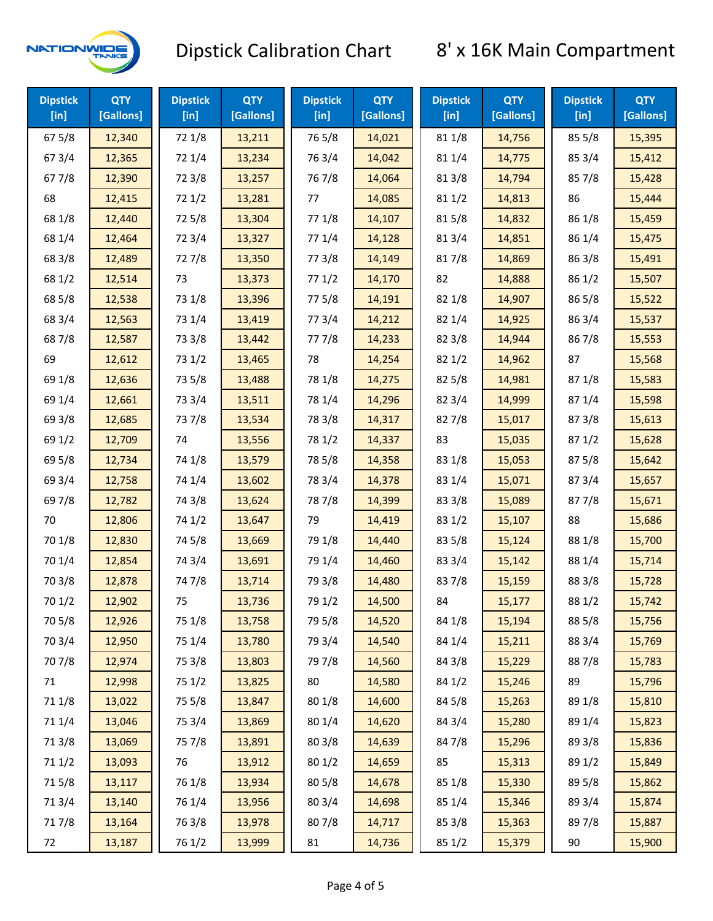

| <b>Dipstick</b><br>$[$ in] | <b>QTY</b><br>[Gallons] | <b>Dipstick</b><br>$[$ in] | <b>QTY</b><br>[Gallons] | <b>Dipstick</b><br>$[$ in] | <b>QTY</b><br>[Gallons] | <b>Dipstick</b><br>$[$ in] | <b>QTY</b><br>[Gallons] | <b>Dipstick</b><br>$[$ in] | <b>QTY</b><br>[Gallons] |
|----------------------------|-------------------------|----------------------------|-------------------------|----------------------------|-------------------------|----------------------------|-------------------------|----------------------------|-------------------------|
| 67 5/8                     | 12,340                  | 72 1/8                     | 13,211                  | 765/8                      | 14,021                  | 81 1/8                     | 14,756                  | 85 5/8                     | 15,395                  |
| 67 3/4                     | 12,365                  | 72 1/4                     | 13,234                  | 763/4                      | 14,042                  | 81 1/4                     | 14,775                  | 85 3/4                     | 15,412                  |
| 67 7/8                     | 12,390                  | 72 3/8                     | 13,257                  | 767/8                      | 14,064                  | 81 3/8                     | 14,794                  | 85 7/8                     | 15,428                  |
| 68                         | 12,415                  | 72 1/2                     | 13,281                  | 77                         | 14,085                  | 811/2                      | 14,813                  | 86                         | 15,444                  |
| 68 1/8                     | 12,440                  | 725/8                      | 13,304                  | 77 1/8                     | 14,107                  | 815/8                      | 14,832                  | 86 1/8                     | 15,459                  |
| 68 1/4                     | 12,464                  | 72 3/4                     | 13,327                  | 77 1/4                     | 14,128                  | 813/4                      | 14,851                  | 86 1/4                     | 15,475                  |
| 68 3/8                     | 12,489                  | 727/8                      | 13,350                  | 77 3/8                     | 14,149                  | 817/8                      | 14,869                  | 86 3/8                     | 15,491                  |
| 68 1/2                     | 12,514                  | 73                         | 13,373                  | 771/2                      | 14,170                  | 82                         | 14,888                  | 86 1/2                     | 15,507                  |
| 68 5/8                     | 12,538                  | 73 1/8                     | 13,396                  | 775/8                      | 14,191                  | 82 1/8                     | 14,907                  | 86 5/8                     | 15,522                  |
| 68 3/4                     | 12,563                  | 73 1/4                     | 13,419                  | 773/4                      | 14,212                  | 82 1/4                     | 14,925                  | 86 3/4                     | 15,537                  |
| 687/8                      | 12,587                  | 73 3/8                     | 13,442                  | 777/8                      | 14,233                  | 82 3/8                     | 14,944                  | 867/8                      | 15,553                  |
| 69                         | 12,612                  | 73 1/2                     | 13,465                  | 78                         | 14,254                  | 82 1/2                     | 14,962                  | 87                         | 15,568                  |
| 69 1/8                     | 12,636                  | 73 5/8                     | 13,488                  | 78 1/8                     | 14,275                  | 82 5/8                     | 14,981                  | 871/8                      | 15,583                  |
| 69 1/4                     | 12,661                  | 73 3/4                     | 13,511                  | 78 1/4                     | 14,296                  | 82 3/4                     | 14,999                  | 871/4                      | 15,598                  |
| 69 3/8                     | 12,685                  | 737/8                      | 13,534                  | 78 3/8                     | 14,317                  | 827/8                      | 15,017                  | 87 3/8                     | 15,613                  |
| 69 1/2                     | 12,709                  | 74                         | 13,556                  | 78 1/2                     | 14,337                  | 83                         | 15,035                  | 871/2                      | 15,628                  |
| 69 5/8                     | 12,734                  | 74 1/8                     | 13,579                  | 78 5/8                     | 14,358                  | 83 1/8                     | 15,053                  | 87 5/8                     | 15,642                  |
| 69 3/4                     | 12,758                  | 74 1/4                     | 13,602                  | 78 3/4                     | 14,378                  | 83 1/4                     | 15,071                  | 87 3/4                     | 15,657                  |
| 697/8                      | 12,782                  | 74 3/8                     | 13,624                  | 787/8                      | 14,399                  | 83 3/8                     | 15,089                  | 877/8                      | 15,671                  |
| 70                         | 12,806                  | 74 1/2                     | 13,647                  | 79                         | 14,419                  | 83 1/2                     | 15,107                  | 88                         | 15,686                  |
| 70 1/8                     | 12,830                  | 74 5/8                     | 13,669                  | 79 1/8                     | 14,440                  | 83 5/8                     | 15,124                  | 88 1/8                     | 15,700                  |
| 70 1/4                     | 12,854                  | 74 3/4                     | 13,691                  | 79 1/4                     | 14,460                  | 83 3/4                     | 15,142                  | 88 1/4                     | 15,714                  |
| 70 3/8                     | 12,878                  | 747/8                      | 13,714                  | 79 3/8                     | 14,480                  | 837/8                      | 15,159                  | 88 3/8                     | 15,728                  |
| 70 1/2                     | 12,902                  | 75                         | 13,736                  | 79 1/2                     | 14,500                  | 84                         | 15,177                  | 88 1/2                     | 15,742                  |
| 70 5/8                     | 12,926                  | 75 1/8                     | 13,758                  | 79 5/8                     | 14,520                  | 84 1/8                     | 15,194                  | 88 5/8                     | 15,756                  |
| 70 3/4                     | 12,950                  | 75 1/4                     | 13,780                  | 79 3/4                     | 14,540                  | 84 1/4                     | 15,211                  | 88 3/4                     | 15,769                  |
| 70 7/8                     | 12,974                  | 75 3/8                     | 13,803                  | 79 7/8                     | 14,560                  | 84 3/8                     | 15,229                  | 887/8                      | 15,783                  |
| 71                         | 12,998                  | 75 1/2                     | 13,825                  | 80                         | 14,580                  | 84 1/2                     | 15,246                  | 89                         | 15,796                  |
| 71 1/8                     | 13,022                  | 75 5/8                     | 13,847                  | 80 1/8                     | 14,600                  | 84 5/8                     | 15,263                  | 89 1/8                     | 15,810                  |
| 711/4                      | 13,046                  | 75 3/4                     | 13,869                  | 80 1/4                     | 14,620                  | 84 3/4                     | 15,280                  | 89 1/4                     | 15,823                  |
| 713/8                      | 13,069                  | 75 7/8                     | 13,891                  | 803/8                      | 14,639                  | 847/8                      | 15,296                  | 89 3/8                     | 15,836                  |
| 71 1/2                     | 13,093                  | 76                         | 13,912                  | 80 1/2                     | 14,659                  | 85                         | 15,313                  | 89 1/2                     | 15,849                  |
| 715/8                      | 13,117                  | 76 1/8                     | 13,934                  | 80 5/8                     | 14,678                  | 85 1/8                     | 15,330                  | 89 5/8                     | 15,862                  |
| 713/4                      | 13,140                  | 76 1/4                     | 13,956                  | 80 3/4                     | 14,698                  | 85 1/4                     | 15,346                  | 89 3/4                     | 15,874                  |
| 717/8                      | 13,164                  | 763/8                      | 13,978                  | 807/8                      | 14,717                  | 85 3/8                     | 15,363                  | 897/8                      | 15,887                  |
| 72                         | 13,187                  | 76 1/2                     | 13,999                  | 81                         | 14,736                  | 85 1/2                     | 15,379                  | $90\,$                     | 15,900                  |